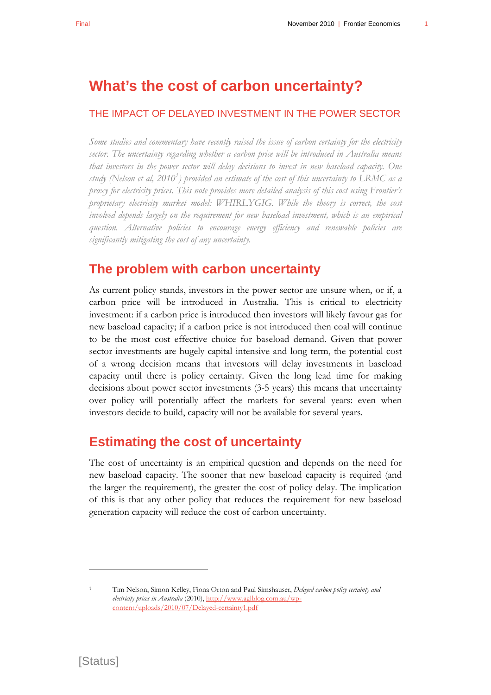# **What's the cost of carbon uncertainty?**

#### THE IMPACT OF DELAYED INVESTMENT IN THE POWER SECTOR

*Some studies and commentary have recently raised the issue of carbon certainty for the electricity sector. The uncertainty regarding whether a carbon price will be introduced in Australia means that investors in the power sector will delay decisions to invest in new baseload capacity. One study (Nelson et al, 2010[1](#page-0-0) ) provided an estimate of the cost of this uncertainty to LRMC as a proxy for electricity prices. This note provides more detailed analysis of this cost using Frontier's proprietary electricity market model: WHIRLYGIG. While the theory is correct, the cost involved depends largely on the requirement for new baseload investment, which is an empirical question. Alternative policies to encourage energy efficiency and renewable policies are significantly mitigating the cost of any uncertainty.* 

#### **The problem with carbon uncertainty**

As current policy stands, investors in the power sector are unsure when, or if, a carbon price will be introduced in Australia. This is critical to electricity investment: if a carbon price is introduced then investors will likely favour gas for new baseload capacity; if a carbon price is not introduced then coal will continue to be the most cost effective choice for baseload demand. Given that power sector investments are hugely capital intensive and long term, the potential cost of a wrong decision means that investors will delay investments in baseload capacity until there is policy certainty. Given the long lead time for making decisions about power sector investments (3-5 years) this means that uncertainty over policy will potentially affect the markets for several years: even when investors decide to build, capacity will not be available for several years.

### **Estimating the cost of uncertainty**

The cost of uncertainty is an empirical question and depends on the need for new baseload capacity. The sooner that new baseload capacity is required (and the larger the requirement), the greater the cost of policy delay. The implication of this is that any other policy that reduces the requirement for new baseload generation capacity will reduce the cost of carbon uncertainty.

 $\overline{a}$ 

<span id="page-0-0"></span><sup>1</sup> Tim Nelson, Simon Kelley, Fiona Orton and Paul Simshauser, *Delayed carbon policy certainty and electricity prices in Australia* (2010), [http://www.aglblog.com.au/wp](http://www.aglblog.com.au/wp-content/uploads/2010/07/Delayed-certainty1.pdf)[content/uploads/2010/07/Delayed-certainty1.pdf](http://www.aglblog.com.au/wp-content/uploads/2010/07/Delayed-certainty1.pdf)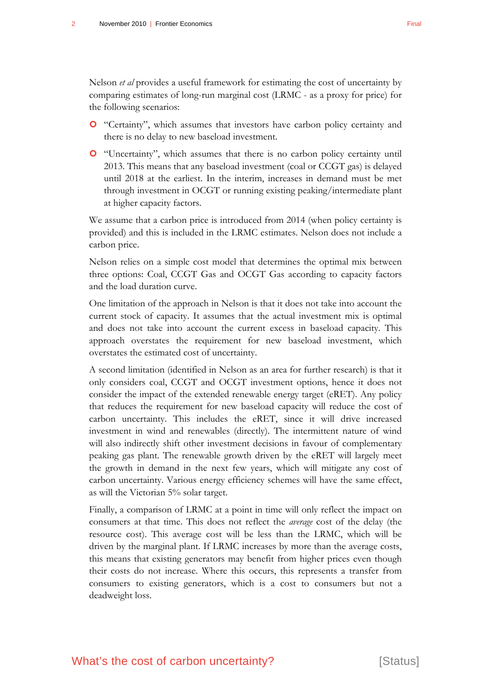Nelson *et al* provides a useful framework for estimating the cost of uncertainty by comparing estimates of long-run marginal cost (LRMC - as a proxy for price) for the following scenarios:

- | "Certainty", which assumes that investors have carbon policy certainty and there is no delay to new baseload investment.
- | "Uncertainty", which assumes that there is no carbon policy certainty until 2013. This means that any baseload investment (coal or CCGT gas) is delayed until 2018 at the earliest. In the interim, increases in demand must be met through investment in OCGT or running existing peaking/intermediate plant at higher capacity factors.

We assume that a carbon price is introduced from 2014 (when policy certainty is provided) and this is included in the LRMC estimates. Nelson does not include a carbon price.

Nelson relies on a simple cost model that determines the optimal mix between three options: Coal, CCGT Gas and OCGT Gas according to capacity factors and the load duration curve.

One limitation of the approach in Nelson is that it does not take into account the current stock of capacity. It assumes that the actual investment mix is optimal and does not take into account the current excess in baseload capacity. This approach overstates the requirement for new baseload investment, which overstates the estimated cost of uncertainty.

A second limitation (identified in Nelson as an area for further research) is that it only considers coal, CCGT and OCGT investment options, hence it does not consider the impact of the extended renewable energy target (eRET). Any policy that reduces the requirement for new baseload capacity will reduce the cost of carbon uncertainty. This includes the eRET, since it will drive increased investment in wind and renewables (directly). The intermittent nature of wind will also indirectly shift other investment decisions in favour of complementary peaking gas plant. The renewable growth driven by the eRET will largely meet the growth in demand in the next few years, which will mitigate any cost of carbon uncertainty. Various energy efficiency schemes will have the same effect, as will the Victorian 5% solar target.

Finally, a comparison of LRMC at a point in time will only reflect the impact on consumers at that time. This does not reflect the *average* cost of the delay (the resource cost). This average cost will be less than the LRMC, which will be driven by the marginal plant. If LRMC increases by more than the average costs, this means that existing generators may benefit from higher prices even though their costs do not increase. Where this occurs, this represents a transfer from consumers to existing generators, which is a cost to consumers but not a deadweight loss.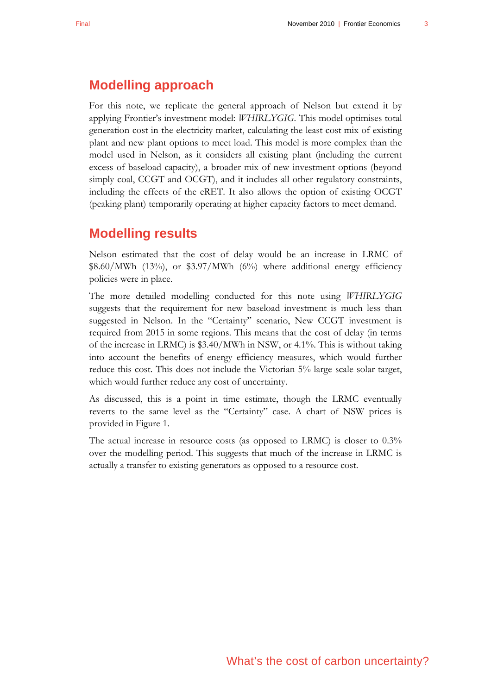## **Modelling approach**

For this note, we replicate the general approach of Nelson but extend it by applying Frontier's investment model: *WHIRLYGIG*. This model optimises total generation cost in the electricity market, calculating the least cost mix of existing plant and new plant options to meet load. This model is more complex than the model used in Nelson, as it considers all existing plant (including the current excess of baseload capacity), a broader mix of new investment options (beyond simply coal, CCGT and OCGT), and it includes all other regulatory constraints, including the effects of the eRET. It also allows the option of existing OCGT (peaking plant) temporarily operating at higher capacity factors to meet demand.

### **Modelling results**

Nelson estimated that the cost of delay would be an increase in LRMC of  $$8.60/MWh$  (13%), or  $$3.97/MWh$  (6%) where additional energy efficiency policies were in place.

The more detailed modelling conducted for this note using *WHIRLYGIG*  suggests that the requirement for new baseload investment is much less than suggested in Nelson. In the "Certainty" scenario, New CCGT investment is required from 2015 in some regions. This means that the cost of delay (in terms of the increase in LRMC) is \$3.40/MWh in NSW, or 4.1%. This is without taking into account the benefits of energy efficiency measures, which would further reduce this cost. This does not include the Victorian 5% large scale solar target, which would further reduce any cost of uncertainty.

As discussed, this is a point in time estimate, though the LRMC eventually reverts to the same level as the "Certainty" case. A chart of NSW prices is provided in [Figure 1.](#page-3-0)

The actual increase in resource costs (as opposed to LRMC) is closer to 0.3% over the modelling period. This suggests that much of the increase in LRMC is actually a transfer to existing generators as opposed to a resource cost.